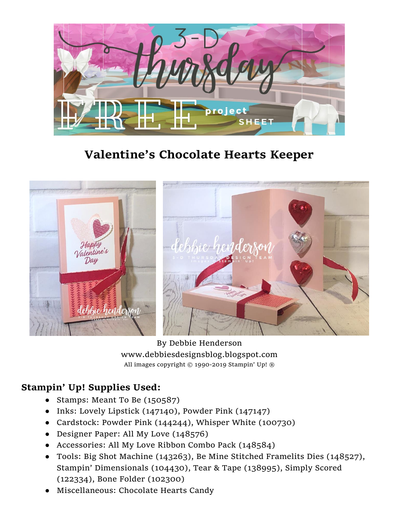

## **Valentine's Chocolate Hearts Keeper**



By Debbie Henderson www.debbiesdesignsblog.blogspot.com All images copyright © 1990-2019 Stampin' Up! ®

## **Stampin' Up! Supplies Used:**

- Stamps: Meant To Be (150587)
- Inks: Lovely Lipstick (147140), Powder Pink (147147)
- Cardstock: Powder Pink (144244), Whisper White (100730)
- Designer Paper: All My Love (148576)
- Accessories: All My Love Ribbon Combo Pack (148584)
- Tools: Big Shot Machine (143263), Be Mine Stitched Framelits Dies (148527), Stampin' Dimensionals (104430), Tear & Tape (138995), Simply Scored (122334), Bone Folder (102300)
- Miscellaneous: Chocolate Hearts Candy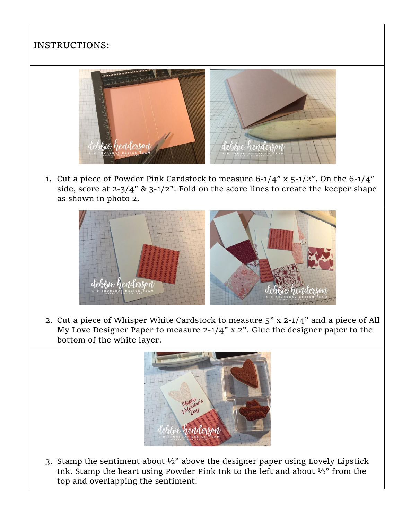## INSTRUCTIONS:



1. Cut a piece of Powder Pink Cardstock to measure  $6-1/4$ " x  $5-1/2$ ". On the  $6-1/4$ " side, score at  $2-3/4$ " &  $3-1/2$ ". Fold on the score lines to create the keeper shape as shown in photo 2.



2. Cut a piece of Whisper White Cardstock to measure 5" x 2-1/4" and a piece of All My Love Designer Paper to measure 2-1/4" x 2". Glue the designer paper to the bottom of the white layer.



3. Stamp the sentiment about  $\frac{1}{2}$ " above the designer paper using Lovely Lipstick Ink. Stamp the heart using Powder Pink Ink to the left and about ½" from the top and overlapping the sentiment.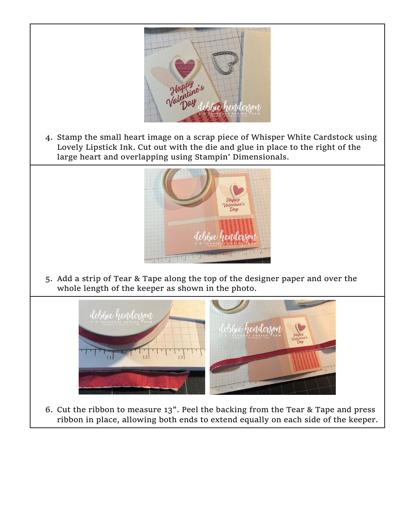

4. Stamp the small heart image on a scrap piece of Whisper White Cardstock using Lovely Lipstick Ink. Cut out with the die and glue in place to the right of the large heart and overlapping using Stampin' Dimensionals.



5. Add a strip of Tear & Tape along the top of the designer paper and over the whole length of the keeper as shown in the photo.



6. Cut the ribbon to measure 13". Peel the backing from the Tear & Tape and press ribbon in place, allowing both ends to extend equally on each side of the keeper.